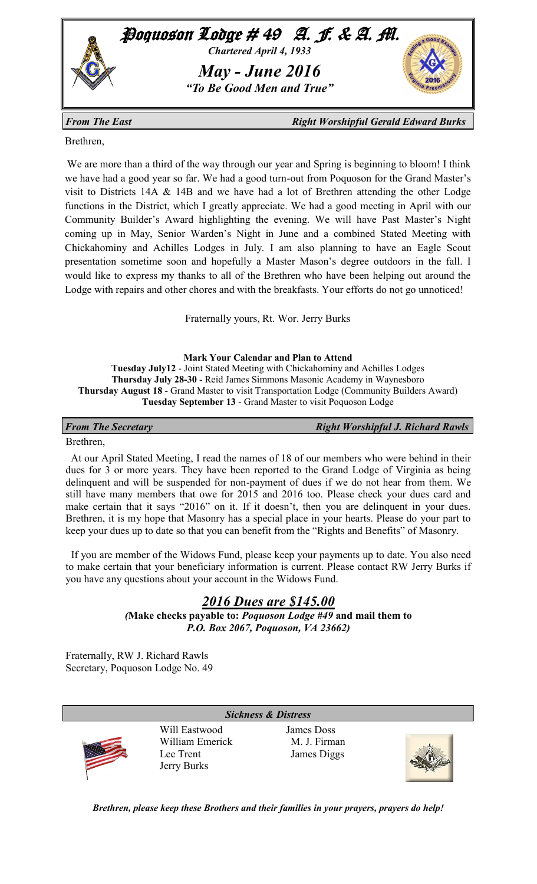

*From The East East Right Worshipful Gerald Edward Burks* 

Brethren,

We are more than a third of the way through our year and Spring is beginning to bloom! I think we have had a good year so far. We had a good turn-out from Poquoson for the Grand Master's visit to Districts 14A & 14B and we have had a lot of Brethren attending the other Lodge functions in the District, which I greatly appreciate. We had a good meeting in April with our Community Builder's Award highlighting the evening. We will have Past Master's Night coming up in May, Senior Warden's Night in June and a combined Stated Meeting with Chickahominy and Achilles Lodges in July. I am also planning to have an Eagle Scout presentation sometime soon and hopefully a Master Mason's degree outdoors in the fall. I would like to express my thanks to all of the Brethren who have been helping out around the Lodge with repairs and other chores and with the breakfasts. Your efforts do not go unnoticed!

Fraternally yours, Rt. Wor. Jerry Burks

**Mark Your Calendar and Plan to Attend Tuesday July12** - Joint Stated Meeting with Chickahominy and Achilles Lodges **Thursday July 28-30** - Reid James Simmons Masonic Academy in Waynesboro **Thursday August 18** - Grand Master to visit Transportation Lodge (Community Builders Award) **Tuesday September 13** - Grand Master to visit Poquoson Lodge

*From The Secretary From The Secretary <b>Right Worshipful J. Richard Rawls* 

## Brethren,

 At our April Stated Meeting, I read the names of 18 of our members who were behind in their dues for 3 or more years. They have been reported to the Grand Lodge of Virginia as being delinquent and will be suspended for non-payment of dues if we do not hear from them. We still have many members that owe for 2015 and 2016 too. Please check your dues card and make certain that it says "2016" on it. If it doesn't, then you are delinquent in your dues. Brethren, it is my hope that Masonry has a special place in your hearts. Please do your part to keep your dues up to date so that you can benefit from the "Rights and Benefits" of Masonry.

 If you are member of the Widows Fund, please keep your payments up to date. You also need to make certain that your beneficiary information is current. Please contact RW Jerry Burks if you have any questions about your account in the Widows Fund.

# *2016 Dues are \$145.00*

*(***Make checks payable to:** *Poquoson Lodge #49* **and mail them to**  *P.O. Box 2067, Poquoson, VA 23662)* 

*Sickness & Distress*

Fraternally, RW J. Richard Rawls Secretary, Poquoson Lodge No. 49



Will Eastwood James Doss William Emerick M. J. Firman Lee Trent James Diggs Jerry Burks



*Brethren, please keep these Brothers and their families in your prayers, prayers do help!*